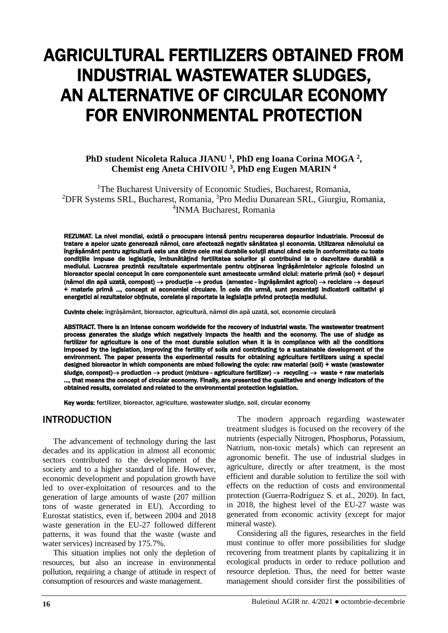# AGRICULTURAL FERTILIZERS OBTAINED FROM INDUSTRIAL WASTEWATER SLUDGES, AN ALTERNATIVE OF CIRCULAR ECONOMY FOR ENVIRONMENTAL PROTECTION

### **PhD student Nicoleta Raluca JIANU <sup>1</sup> , PhD eng Ioana Corina MOGA <sup>2</sup> , Chemist eng Aneta CHIVOIU <sup>3</sup> , PhD eng Eugen MARIN <sup>4</sup>**

<sup>1</sup>The Bucharest University of Economic Studies, Bucharest, Romania, <sup>2</sup>DFR Systems SRL, Bucharest, Romania, <sup>3</sup>Pro Mediu Dunarean SRL, Giurgiu, Romania, 4 INMA Bucharest, Romania

REZUMAT. La nivel mondial, există o preocupare intensă pentru recuperarea deșeurilor industriale. Procesul de tratare a apelor uzate generează nămol, care afectează negativ sănătatea și economia. Utilizarea nămolului ca îngrășământ pentru agricultură este una dintre cele mai durabile soluții atunci când este în conformitate cu toate condițiile impuse de legislație, îmbunătățind fertilitatea solurilor și contribuind la o dezvoltare durabilă a mediului. Lucrarea prezintă rezultatele experimentale pentru obținerea îngrășămintelor agricole folosind un bioreactor special conceput în care componentele sunt amestecate urmând ciclul: materie primă (sol) + deșeuri (nămol din apă uzată, compost)  $\rightarrow$  producție  $\rightarrow$  produs (amestec - îngrășământ agricol)  $\rightarrow$  reciclare  $\rightarrow$  deșeuri + materie primă ..., concept al economiei circulare. În cele din urmă, sunt prezentați indicatorii calitativi și energetici ai rezultatelor obținute, corelate și raportate la legislația privind protecția mediului.

Cuvinte cheie: îngrășământ, bioreactor, agricultură, nămol din apă uzată, sol, economie circulară

ABSTRACT. There is an intense concern worldwide for the recovery of industrial waste. The wastewater treatment process generates the sludge which negatively impacts the health and the economy. The use of sludge as fertilizer for agriculture is one of the most durable solution when it is in compliance with all the conditions imposed by the legislation, improving the fertility of soils and contributing to a sustainable development of the environment. The paper presents the experimental results for obtaining agriculture fertilizers using a special designed bioreactor in which components are mixed following the cycle: raw material (soil) + waste (wastewater sludge, compost)  $\rightarrow$  production  $\rightarrow$  product (mixture - agriculture fertilizer)  $\rightarrow$  recycling  $\rightarrow$  waste + raw materials ..., that means the concept of circular economy. Finally, are presented the qualitative and energy indicators of the obtained results, correlated and related to the environmental protection legislation.

Key words: fertilizer, bioreactor, agriculture, wastewater sludge, soil, circular economy

### INTRODUCTION

The advancement of technology during the last decades and its application in almost all economic sectors contributed to the development of the society and to a higher standard of life. However, economic development and population growth have led to over-exploitation of resources and to the generation of large amounts of waste (207 million tons of waste generated in EU). According to Eurostat statistics, even if, between 2004 and 2018 waste generation in the EU-27 followed different patterns, it was found that the waste (waste and water services) increased by 175.7%.

This situation implies not only the depletion of resources, but also an increase in environmental pollution, requiring a change of attitude in respect of consumption of resources and waste management.

The modern approach regarding wastewater treatment sludges is focused on the recovery of the nutrients (especially Nitrogen, Phosphorus, Potassium, Natrium, non-toxic metals) which can represent an agronomic benefit. The use of industrial sludges in agriculture, directly or after treatment, is the most efficient and durable solution to fertilize the soil with effects on the reduction of costs and environmental protection (Guerra-Rodríguez S. et al., 2020). In fact, in 2018, the highest level of the EU-27 waste was generated from economic activity (except for major mineral waste)

Considering all the figures, researches in the field must continue to offer more possibilities for sludge recovering from treatment plants by capitalizing it in ecological products in order to reduce pollution and resource depletion. Thus, the need for better waste management should consider first the possibilities of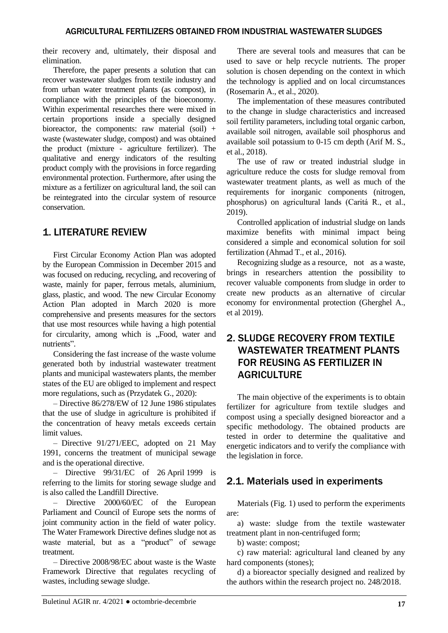their recovery and, ultimately, their disposal and elimination.

Therefore, the paper presents a solution that can recover wastewater sludges from textile industry and from urban water treatment plants (as compost), in compliance with the principles of the bioeconomy. Within experimental researches there were mixed in certain proportions inside a specially designed bioreactor, the components: raw material  $(soil) +$ waste (wastewater sludge, compost) and was obtained the product (mixture - agriculture fertilizer). The qualitative and energy indicators of the resulting product comply with the provisions in force regarding environmental protection. Furthermore, after using the mixture as a fertilizer on agricultural land, the soil can be reintegrated into the circular system of resource conservation.

# 1. LITERATURE REVIEW

First Circular Economy Action Plan was adopted by the European Commission in December 2015 and was focused on reducing, recycling, and recovering of waste, mainly for paper, ferrous metals, aluminium, glass, plastic, and wood. The new Circular Economy Action Plan adopted in March 2020 is more comprehensive and presents measures for the sectors that use most resources while having a high potential for circularity, among which is ...Food, water and nutrients".

Considering the fast increase of the waste volume generated both by industrial wastewater treatment plants and municipal wastewaters plants, the member states of the EU are obliged to implement and respect more regulations, such as (Przydatek G., 2020):

– Directive 86/278/EW of 12 June 1986 stipulates that the use of sludge in agriculture is prohibited if the concentration of heavy metals exceeds certain limit values.

– Directive 91/271/EEC, adopted on 21 May 1991, concerns the treatment of municipal sewage and is the operational directive.

– Directive 99/31/EC of 26 April 1999 is referring to the limits for storing sewage sludge and is also called the Landfill Directive.

– Directive 2000/60/EC of the European Parliament and Council of Europe sets the norms of joint community action in the field of water policy. The Water Framework Directive defines sludge not as waste material, but as a "product" of sewage treatment.

– Directive 2008/98/EC about waste is the Waste Framework Directive that regulates recycling of wastes, including sewage sludge.

There are several tools and measures that can be used to save or help recycle nutrients. The proper solution is chosen depending on the context in which the technology is applied and on local circumstances (Rosemarin A., et al., 2020).

The implementation of these measures contributed to the change in sludge characteristics and increased soil fertility parameters, including total organic carbon, available soil nitrogen, available soil phosphorus and available soil potassium to 0-15 cm depth (Arif M. S., et al., 2018).

The use of raw or treated industrial sludge in agriculture reduce the costs for sludge removal from wastewater treatment plants, as well as much of the requirements for inorganic components (nitrogen, phosphorus) on agricultural lands (Caritá R., et al., 2019).

Controlled application of industrial sludge on lands maximize benefits with minimal impact being considered a simple and economical solution for soil fertilization (Ahmad T., et al., 2016).

Recognizing sludge as a resource, not as a waste, brings in researchers attention the possibility to recover valuable components from sludge in order to create new products as an alternative of circular economy for environmental protection (Gherghel A., et al 2019).

# 2. SLUDGE RECOVERY FROM TEXTILE WASTEWATER TREATMENT PLANTS FOR REUSING AS FERTILIZER IN **AGRICULTURE**

The main objective of the experiments is to obtain fertilizer for agriculture from textile sludges and compost using a specially designed bioreactor and a specific methodology. The obtained products are tested in order to determine the qualitative and energetic indicators and to verify the compliance with the legislation in force.

# 2.1. Materials used in experiments

Materials (Fig. 1) used to perform the experiments are:

a) waste: sludge from the textile wastewater treatment plant in non-centrifuged form;

b) waste: compost;

c) raw material: agricultural land cleaned by any hard components (stones);

d) a bioreactor specially designed and realized by the authors within the research project no. 248/2018.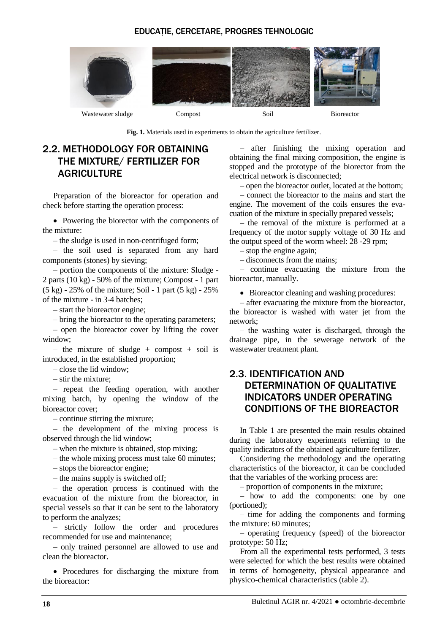### EDUCAȚIE, CERCETARE, PROGRES TEHNOLOGIC



**Fig. 1.** Materials used in experiments to obtain the agriculture fertilizer.

# 2.2. METHODOLOGY FOR OBTAINING THE MIXTURE/ FERTILIZER FOR **AGRICULTURE**

Preparation of the bioreactor for operation and check before starting the operation process:

• Powering the biorector with the components of the mixture:

– the sludge is used in non-centrifuged form;

– the soil used is separated from any hard components (stones) by sieving;

– portion the components of the mixture: Sludge - 2 parts (10 kg) - 50% of the mixture; Compost - 1 part  $(5 \text{ kg}) - 25\%$  of the mixture; Soil - 1 part  $(5 \text{ kg}) - 25\%$ of the mixture - in 3-4 batches;

– start the bioreactor engine;

– bring the bioreactor to the operating parameters;

– open the bioreactor cover by lifting the cover window;

– the mixture of sludge + compost + soil is introduced, in the established proportion;

– close the lid window;

– stir the mixture;

– repeat the feeding operation, with another mixing batch, by opening the window of the bioreactor cover;

– continue stirring the mixture;

– the development of the mixing process is observed through the lid window;

– when the mixture is obtained, stop mixing;

– the whole mixing process must take 60 minutes;

– stops the bioreactor engine;

– the mains supply is switched off;

– the operation process is continued with the evacuation of the mixture from the bioreactor, in special vessels so that it can be sent to the laboratory to perform the analyzes;

– strictly follow the order and procedures recommended for use and maintenance;

– only trained personnel are allowed to use and clean the bioreactor.

• Procedures for discharging the mixture from the bioreactor:

– after finishing the mixing operation and obtaining the final mixing composition, the engine is stopped and the prototype of the biorector from the electrical network is disconnected;

– open the bioreactor outlet, located at the bottom;

– connect the bioreactor to the mains and start the engine. The movement of the coils ensures the evacuation of the mixture in specially prepared vessels;

– the removal of the mixture is performed at a frequency of the motor supply voltage of 30 Hz and the output speed of the worm wheel: 28 -29 rpm;

– stop the engine again;

– disconnects from the mains;

– continue evacuating the mixture from the bioreactor, manually.

• Bioreactor cleaning and washing procedures:

– after evacuating the mixture from the bioreactor, the bioreactor is washed with water jet from the network;

– the washing water is discharged, through the drainage pipe, in the sewerage network of the wastewater treatment plant.

### 2.3. IDENTIFICATION AND DETERMINATION OF QUALITATIVE INDICATORS UNDER OPERATING CONDITIONS OF THE BIOREACTOR

In Table 1 are presented the main results obtained during the laboratory experiments referring to the quality indicators of the obtained agriculture fertilizer.

Considering the methodology and the operating characteristics of the bioreactor, it can be concluded that the variables of the working process are:

– proportion of components in the mixture;

– how to add the components: one by one (portioned);

– time for adding the components and forming the mixture: 60 minutes;

– operating frequency (speed) of the bioreactor prototype: 50 Hz;

From all the experimental tests performed, 3 tests were selected for which the best results were obtained in terms of homogeneity, physical appearance and physico-chemical characteristics (table 2).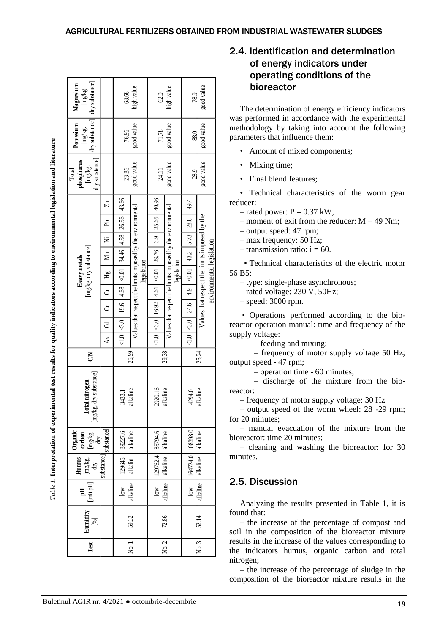|                                                                                                                                   | dry substance]<br>Magnesium<br>${\rm [mg/kg]}$                                                          | 68.68                    | high value          | $62.0$                                                      | high value           | 78.9                                                        | good value                  | operating conditions of the<br>bioreactor<br>The determination of energy efficiency indicators                                                                                                           |                                                                                                                                                                                                                                                                                                   |  |  |  |  |
|-----------------------------------------------------------------------------------------------------------------------------------|---------------------------------------------------------------------------------------------------------|--------------------------|---------------------|-------------------------------------------------------------|----------------------|-------------------------------------------------------------|-----------------------------|----------------------------------------------------------------------------------------------------------------------------------------------------------------------------------------------------------|---------------------------------------------------------------------------------------------------------------------------------------------------------------------------------------------------------------------------------------------------------------------------------------------------|--|--|--|--|
|                                                                                                                                   | $\begin{bmatrix} \text{img/kg.} \\ \text{dry substance} \end{bmatrix}$<br>Potassium                     | 76.92                    | good value          | good value<br>71.78                                         |                      | good value<br>88.0                                          |                             | was performed in accordance with the experimental<br>methodology by taking into account the following<br>parameters that influence them:                                                                 |                                                                                                                                                                                                                                                                                                   |  |  |  |  |
|                                                                                                                                   |                                                                                                         |                          |                     |                                                             |                      |                                                             |                             |                                                                                                                                                                                                          | Amount of mixed components;<br>$\bullet$                                                                                                                                                                                                                                                          |  |  |  |  |
|                                                                                                                                   | [mg/kg.<br>dry substance]<br>phosphorus<br>Total                                                        |                          | good value<br>23.86 |                                                             | good value<br>24.11  |                                                             | good value<br>28.9          |                                                                                                                                                                                                          | Mixing time;                                                                                                                                                                                                                                                                                      |  |  |  |  |
|                                                                                                                                   |                                                                                                         |                          |                     |                                                             |                      |                                                             |                             |                                                                                                                                                                                                          | Final blend features;                                                                                                                                                                                                                                                                             |  |  |  |  |
|                                                                                                                                   | [mg/kg. dry substance]<br>Heavy metals                                                                  | $\mathbb{Z}$             | 43.66               |                                                             | 40.96                |                                                             | 49.4                        |                                                                                                                                                                                                          | · Technical characteristics of the worm gear<br>reducer:<br>$-$ rated power: $P = 0.37$ kW;                                                                                                                                                                                                       |  |  |  |  |
|                                                                                                                                   |                                                                                                         | <b>R</b>                 | 26.56               |                                                             | 25.65                | Values that respect the limits imposed by the environmental | 28.8                        |                                                                                                                                                                                                          | - moment of exit from the reducer: $M = 49$ Nm;                                                                                                                                                                                                                                                   |  |  |  |  |
| Table 1. Interpretation of experimental test results for quality indicators according to environmental legislation and literature |                                                                                                         | 乞                        | 4.58                |                                                             | 3.9                  |                                                             | 5.73                        | Values that respect the limits imposed by the<br>environmental legislation                                                                                                                               | - output speed: 47 rpm;<br>- max frequency: 50 Hz;<br>$-$ transmission ratio: $i = 60$ .                                                                                                                                                                                                          |  |  |  |  |
|                                                                                                                                   |                                                                                                         | Mn                       | 34.46               | Values that respect the limits imposed by the environmental | 29.76                |                                                             | 43.2                        |                                                                                                                                                                                                          |                                                                                                                                                                                                                                                                                                   |  |  |  |  |
|                                                                                                                                   |                                                                                                         |                          |                     |                                                             |                      | legislation                                                 |                             |                                                                                                                                                                                                          | • Technical characteristics of the electric motor                                                                                                                                                                                                                                                 |  |  |  |  |
|                                                                                                                                   |                                                                                                         | ЯÄ                       | 0.01                | legislation                                                 | $<0.01$              |                                                             | 0.01                        |                                                                                                                                                                                                          | 56 B5:<br>- type: single-phase asynchronous;                                                                                                                                                                                                                                                      |  |  |  |  |
|                                                                                                                                   |                                                                                                         | ්                        | 4.68                |                                                             | 4.61                 |                                                             | 4.9                         |                                                                                                                                                                                                          | $-$ rated voltage: 230 V, 50Hz;                                                                                                                                                                                                                                                                   |  |  |  |  |
|                                                                                                                                   |                                                                                                         | Ġ                        | 19.6                |                                                             | 16.92                |                                                             | 24.6                        |                                                                                                                                                                                                          | $-$ speed: 3000 rpm.                                                                                                                                                                                                                                                                              |  |  |  |  |
|                                                                                                                                   |                                                                                                         | පි                       | $<3.0$              |                                                             | $\lesssim 0$         |                                                             | $\heartsuit$                |                                                                                                                                                                                                          | • Operations performed according to the bio-<br>reactor operation manual: time and frequency of the                                                                                                                                                                                               |  |  |  |  |
|                                                                                                                                   |                                                                                                         | ÅS                       | $<1.0$              |                                                             | $<1.0$               |                                                             | $\overline{1.0}$            |                                                                                                                                                                                                          | supply voltage:<br>- feeding and mixing;                                                                                                                                                                                                                                                          |  |  |  |  |
|                                                                                                                                   | $\mathsf{S}$                                                                                            |                          |                     | 25,99                                                       | 29,38                |                                                             | 25,24                       |                                                                                                                                                                                                          | - frequency of motor supply voltage 50 Hz;<br>output speed - 47 rpm;                                                                                                                                                                                                                              |  |  |  |  |
|                                                                                                                                   | kg. dry substance]<br>Total nitrogen<br>gul                                                             | 3433.1                   | alkaline            | 2920.16<br>alkaline                                         |                      | 4294.0<br>alkaline                                          |                             | - operation time - 60 minutes;<br>- discharge of the mixture from the bio-<br>reactor:<br>- frequency of motor supply voltage: 30 Hz<br>- output speed of the worm wheel: 28 -29 rpm;<br>for 20 minutes; |                                                                                                                                                                                                                                                                                                   |  |  |  |  |
|                                                                                                                                   | $\begin{array}{c}\mathbf{Organic}\\ \mathbf{carbon}\\ \mathrm{Im} g / k g.\\ \mathrm{Im} g \end{array}$ | 89227.6<br>alkaline      |                     | 85794.6<br>alkaline                                         |                      | 108398.0<br>alkaline                                        |                             | - manual evacuation of the mixture from the<br>bioreactor: time 20 minutes;<br>$-$ cleaning and washing the bioreactor: for 30<br>minutes.                                                               |                                                                                                                                                                                                                                                                                                   |  |  |  |  |
|                                                                                                                                   | substance<br>substance]<br>Humus<br>$\underset{\mathrm{dry}}{\mathop{\mathrm{img}}\nolimits}$           |                          | $129645$ alkalin    |                                                             | 129762.4<br>alkaline |                                                             | 164724.0<br>alkaline        |                                                                                                                                                                                                          |                                                                                                                                                                                                                                                                                                   |  |  |  |  |
|                                                                                                                                   | [unit pH]<br>필                                                                                          | alkaline<br>$_{\rm low}$ |                     | low<br>alkaline                                             |                      | alkaline<br>$_{\rm low}$                                    |                             | 2.5. Discussion                                                                                                                                                                                          |                                                                                                                                                                                                                                                                                                   |  |  |  |  |
|                                                                                                                                   | Humidity<br>[%]                                                                                         |                          | 59.32               |                                                             | 72.86                |                                                             | 52.14                       |                                                                                                                                                                                                          | Analyzing the results presented in Table 1, it is<br>found that:<br>- the increase of the percentage of compost and<br>soil in the composition of the bioreactor mixture<br>results in the increase of the values corresponding to<br>the indicators humus, organic carbon and total<br>nitrogen; |  |  |  |  |
|                                                                                                                                   | Test                                                                                                    |                          | No.1                |                                                             | $\sim$<br>Σó.        |                                                             | $\tilde{\phantom{0}}$<br>Σ. |                                                                                                                                                                                                          |                                                                                                                                                                                                                                                                                                   |  |  |  |  |
|                                                                                                                                   |                                                                                                         |                          |                     |                                                             |                      |                                                             |                             |                                                                                                                                                                                                          | - the increase of the percentage of sludge in the<br>composition of the bioreactor mixture results in the                                                                                                                                                                                         |  |  |  |  |
|                                                                                                                                   | Buletinul AGIR nr. 4/2021 · octombrie-decembrie                                                         |                          |                     |                                                             |                      |                                                             |                             |                                                                                                                                                                                                          | 19                                                                                                                                                                                                                                                                                                |  |  |  |  |

# 2.4. Identification and determination of energy indicators under operating conditions of the bioreactor

- Amount of mixed components;
- Mixing time;
- Final blend features:

- rated voltage: 230 V, 50Hz;
- speed: 3000 rpm.

# 2.5. Discussion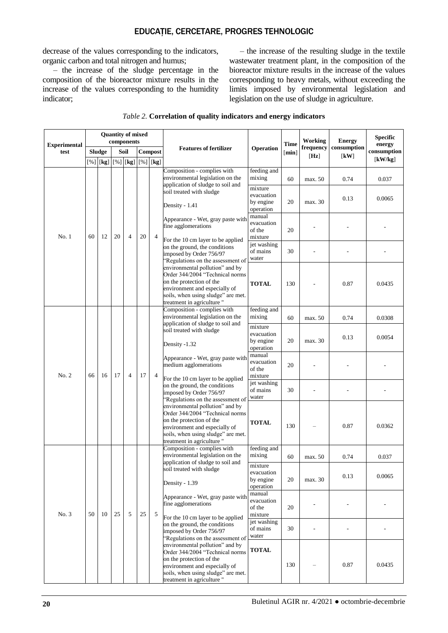### EDUCAȚIE, CERCETARE, PROGRES TEHNOLOGIC

decrease of the values corresponding to the indicators, organic carbon and total nitrogen and humus;

– the increase of the sludge percentage in the composition of the bioreactor mixture results in the increase of the values corresponding to the humidity indicator;

– the increase of the resulting sludge in the textile wastewater treatment plant, in the composition of the bioreactor mixture results in the increase of the values corresponding to heavy metals, without exceeding the limits imposed by environmental legislation and legislation on the use of sludge in agriculture.

| <b>Experimental</b> | <b>Quantity of mixed</b><br>components |    |      |                                                                                                                |         |   |                                                                                                                                                                                                                                                                                                     |                                                 | <b>Time</b> | <b>Working</b>     | <b>Energy</b>                                        | <b>Specific</b><br>energy  |
|---------------------|----------------------------------------|----|------|----------------------------------------------------------------------------------------------------------------|---------|---|-----------------------------------------------------------------------------------------------------------------------------------------------------------------------------------------------------------------------------------------------------------------------------------------------------|-------------------------------------------------|-------------|--------------------|------------------------------------------------------|----------------------------|
| test                | <b>Sludge</b>                          |    | Soil |                                                                                                                | Compost |   | <b>Features of fertilizer</b>                                                                                                                                                                                                                                                                       | Operation                                       | [min]       | frequency<br>[Hz]  | consumption<br>$\lceil \mathbf{k} \mathbf{W} \rceil$ | consumption<br>[ $kW/kg$ ] |
|                     |                                        |    |      | [%] $[\mathbf{k}\mathbf{g}]$ $[\mathbf{\%}]$ $[\mathbf{k}\mathbf{g}]$ $[\mathbf{\%}]$ $[\mathbf{k}\mathbf{g}]$ |         |   | Composition - complies with                                                                                                                                                                                                                                                                         | feeding and                                     |             |                    |                                                      |                            |
|                     | 60                                     | 12 | 20   | $\overline{4}$                                                                                                 | 20      | 4 | environmental legislation on the<br>application of sludge to soil and<br>soil treated with sludge                                                                                                                                                                                                   | mixing<br>mixture<br>evacuation<br>by engine    | 60<br>20    | max. 50<br>max. 30 | 0.74<br>0.13                                         | 0.037<br>0.0065            |
|                     |                                        |    |      |                                                                                                                |         |   | Density - 1.41<br>Appearance - Wet, gray paste with<br>fine agglomerations                                                                                                                                                                                                                          | operation<br>manual<br>evacuation<br>of the     | 20          |                    |                                                      |                            |
| No.1                |                                        |    |      |                                                                                                                |         |   | For the 10 cm layer to be applied<br>on the ground, the conditions<br>imposed by Order 756/97<br>Regulations on the assessment of                                                                                                                                                                   | mixture<br>jet washing<br>of mains<br>water     | 30          |                    |                                                      |                            |
|                     |                                        |    |      |                                                                                                                |         |   | environmental pollution" and by<br>Order 344/2004 "Technical norms<br>on the protection of the<br>environment and especially of<br>soils, when using sludge" are met.<br>treatment in agriculture"                                                                                                  | <b>TOTAL</b>                                    | 130         |                    | 0.87                                                 | 0.0435                     |
|                     | 66                                     | 16 | 17   | $\overline{4}$                                                                                                 | 17      | 4 | Composition - complies with<br>environmental legislation on the                                                                                                                                                                                                                                     | feeding and<br>mixing                           | 60          | max. 50            | 0.74                                                 | 0.0308                     |
|                     |                                        |    |      |                                                                                                                |         |   | application of sludge to soil and<br>soil treated with sludge<br>Density -1.32                                                                                                                                                                                                                      | mixture<br>evacuation<br>by engine<br>operation | 20          | max. 30            | 0.13                                                 | 0.0054                     |
| No. 2               |                                        |    |      |                                                                                                                |         |   | Appearance - Wet, gray paste with<br>medium agglomerations<br>For the 10 cm layer to be applied                                                                                                                                                                                                     | manual<br>evacuation<br>of the<br>mixture       | 20          |                    |                                                      |                            |
|                     |                                        |    |      |                                                                                                                |         |   | on the ground, the conditions<br>imposed by Order 756/97<br>"Regulations on the assessment of<br>environmental pollution" and by<br>Order 344/2004 "Technical norms<br>on the protection of the<br>environment and especially of<br>soils, when using sludge" are met.<br>treatment in agriculture" | jet washing<br>of mains<br>water                | 30          |                    |                                                      |                            |
|                     |                                        |    |      |                                                                                                                |         |   |                                                                                                                                                                                                                                                                                                     | <b>TOTAL</b>                                    | 130         |                    | 0.87                                                 | 0.0362                     |
|                     | 50                                     | 10 | 25   | 5                                                                                                              | 25      | 5 | Composition - complies with<br>environmental legislation on the                                                                                                                                                                                                                                     | feeding and<br>mixing                           | 60          | max. 50            | 0.74                                                 | 0.037                      |
|                     |                                        |    |      |                                                                                                                |         |   | application of sludge to soil and<br>soil treated with sludge<br>Density - 1.39                                                                                                                                                                                                                     | mixture<br>evacuation<br>by engine<br>operation | 20          | max. 30            | 0.13                                                 | 0.0065                     |
| No. 3               |                                        |    |      |                                                                                                                |         |   | Appearance - Wet, gray paste with<br>fine agglomerations<br>For the 10 cm layer to be applied                                                                                                                                                                                                       | manual<br>evacuation<br>of the<br>mixture       | 20          |                    |                                                      |                            |
|                     |                                        |    |      |                                                                                                                |         |   | on the ground, the conditions<br>imposed by Order 756/97<br>'Regulations on the assessment of                                                                                                                                                                                                       | jet washing<br>of mains<br>water                | 30          | ÷,                 | ٠                                                    |                            |
|                     |                                        |    |      |                                                                                                                |         |   | environmental pollution" and by<br>Order 344/2004 "Technical norms<br>on the protection of the<br>environment and especially of<br>soils, when using sludge" are met.<br>treatment in agriculture"                                                                                                  | <b>TOTAL</b>                                    | 130         |                    | 0.87                                                 | 0.0435                     |

#### *Table 2.* **Correlation of quality indicators and energy indicators**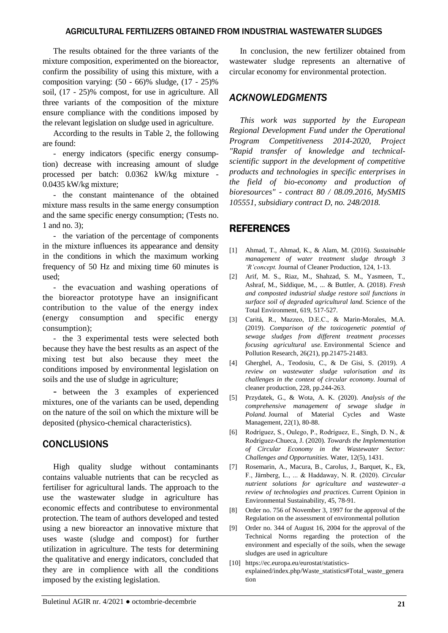### AGRICULTURAL FERTILIZERS OBTAINED FROM INDUSTRIAL WASTEWATER SLUDGES

The results obtained for the three variants of the mixture composition, experimented on the bioreactor, confirm the possibility of using this mixture, with a composition varying: (50 - 66)% sludge, (17 - 25)% soil, (17 - 25)% compost, for use in agriculture. All three variants of the composition of the mixture ensure compliance with the conditions imposed by the relevant legislation on sludge used in agriculture.

According to the results in Table 2, the following are found:

- energy indicators (specific energy consumption) decrease with increasing amount of sludge processed per batch: 0.0362 kW/kg mixture - 0.0435 kW/kg mixture;

- the constant maintenance of the obtained mixture mass results in the same energy consumption and the same specific energy consumption; (Tests no. 1 and no. 3);

- the variation of the percentage of components in the mixture influences its appearance and density in the conditions in which the maximum working frequency of 50 Hz and mixing time 60 minutes is used;

- the evacuation and washing operations of the bioreactor prototype have an insignificant contribution to the value of the energy index (energy consumption and specific energy consumption);

- the 3 experimental tests were selected both because they have the best results as an aspect of the mixing test but also because they meet the conditions imposed by environmental legislation on soils and the use of sludge in agriculture;

- between the 3 examples of experienced mixtures, one of the variants can be used, depending on the nature of the soil on which the mixture will be deposited (physico-chemical characteristics).

# **CONCLUSIONS**

High quality sludge without contaminants contains valuable nutrients that can be recycled as fertiliser for agricultural lands. The approach to the use the wastewater sludge in agriculture has economic effects and contributese to environmental protection. The team of authors developed and tested using a new bioreactor an innovative mixture that uses waste (sludge and compost) for further utilization in agriculture. The tests for determining the qualitative and energy indicators, concluded that they are in complience with all the conditions imposed by the existing legislation.

In conclusion, the new fertilizer obtained from wastewater sludge represents an alternative of circular economy for environmental protection.

### *ACKNOWLEDGMENTS*

*This work was supported by the European Regional Development Fund under the Operational Program Competitiveness 2014-2020, Project "Rapid transfer of knowledge and technicalscientific support in the development of competitive products and technologies in specific enterprises in the field of bio-economy and production of bioresources" - contract 80 / 08.09.2016, MySMIS 105551, subsidiary contract D, no. 248/2018.*

### REFERENCES

- [1] Ahmad, T., Ahmad, K., & Alam, M. (2016). *Sustainable management of water treatment sludge through 3 'R'concept.* Journal of Cleaner Production, 124, 1-13.
- [2] Arif, M. S., Riaz, M., Shahzad, S. M., Yasmeen, T., Ashraf, M., Siddique, M., ... & Buttler, A. (2018). *Fresh and composted industrial sludge restore soil functions in surface soil of degraded agricultural land.* Science of the Total Environment, 619, 517-527.
- [3] Caritá, R., Mazzeo, D.E.C., & Marin-Morales, M.A. (2019). *Comparison of the toxicogenetic potential of sewage sludges from different treatment processes focusing agricultural use.* Environmental Science and Pollution Research, 26(21), pp.21475-21483.
- [4] Gherghel, A., Teodosiu, C., & De Gisi, S. (2019). *A review on wastewater sludge valorisation and its challenges in the context of circular economy.* Journal of cleaner production, 228, pp.244-263.
- [5] Przydatek, G., & Wota, A. K. (2020). *Analysis of the comprehensive management of sewage sludge in Poland.* Journal of Material Cycles and Waste Management, 22(1), 80-88.
- [6] Rodríguez, S., Oulego, P., Rodríguez, E., Singh, D. N., & Rodríguez-Chueca, J. (2020). *Towards the Implementation of Circular Economy in the Wastewater Sector: Challenges and Opportunities.* Water, 12(5), 1431.
- [7] Rosemarin, A., Macura, B., Carolus, J., Barquet, K., Ek, F., Järnberg, L., ... & Haddaway, N. R. (2020). *Circular nutrient solutions for agriculture and wastewater–a review of technologies and practices.* Current Opinion in Environmental Sustainability, 45, 78-91.
- [8] Order no. 756 of November 3, 1997 for the approval of the Regulation on the assessment of environmental pollution
- [9] Order no. 344 of August 16, 2004 for the approval of the Technical Norms regarding the protection of the environment and especially of the soils, when the sewage sludges are used in agriculture
- [10] [https://ec.europa.eu/eurostat/statistics](https://ec.europa.eu/eurostat/statistics-explained/index.php/Waste_statistics#Total_waste_generation)[explained/index.php/Waste\\_statistics#Total\\_waste\\_genera](https://ec.europa.eu/eurostat/statistics-explained/index.php/Waste_statistics#Total_waste_generation) [tion](https://ec.europa.eu/eurostat/statistics-explained/index.php/Waste_statistics#Total_waste_generation)